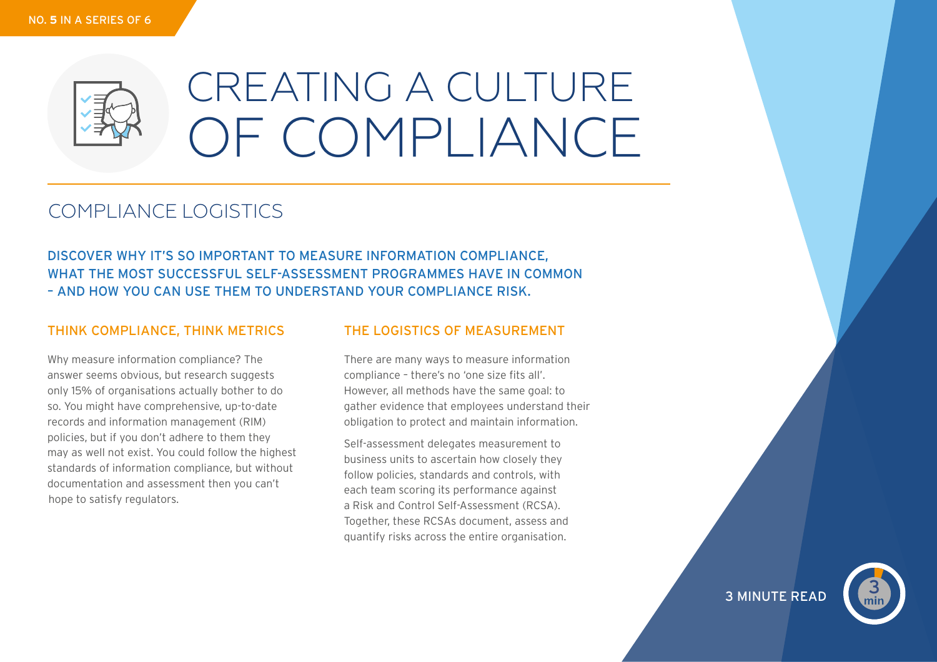

# CREATING A CULTURE OF COMPLIANCE

# COMPLIANCE LOGISTICS

DISCOVER WHY IT'S SO IMPORTANT TO MEASURE INFORMATION COMPLIANCE, WHAT THE MOST SUCCESSFUL SELF-ASSESSMENT PROGRAMMES HAVE IN COMMON – AND HOW YOU CAN USE THEM TO UNDERSTAND YOUR COMPLIANCE RISK.

# THINK COMPLIANCE, THINK METRICS

Why measure information compliance? The answer seems obvious, but research suggests only 15% of organisations actually bother to do so. You might have comprehensive, up-to-date records and information management (RIM) policies, but if you don't adhere to them they may as well not exist. You could follow the highest standards of information compliance, but without documentation and assessment then you can't hope to satisfy regulators.

## THE LOGISTICS OF MEASUREMENT

There are many ways to measure information compliance – there's no 'one size fits all'. However, all methods have the same goal: to gather evidence that employees understand their obligation to protect and maintain information.

Self-assessment delegates measurement to business units to ascertain how closely they follow policies, standards and controls, with each team scoring its performance against a Risk and Control Self-Assessment (RCSA). Together, these RCSAs document, assess and quantify risks across the entire organisation.

3 MINUTE READ